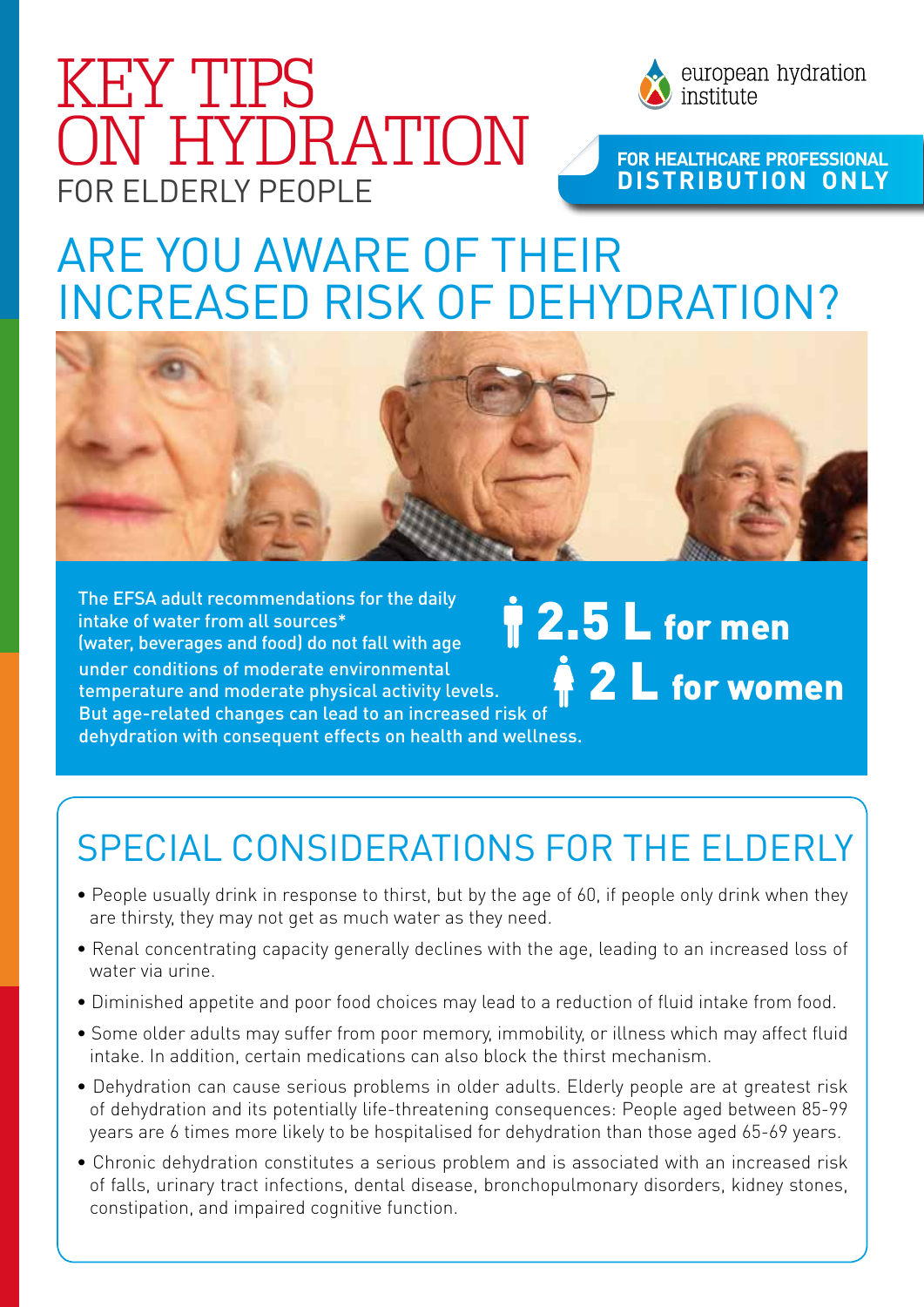## for ELDERLY PEOPLE KEY TIPS ON HYDRATION



### **For HeaLthcare Professional distribution only**

## Are you aware of their increased risk oF dehydration?



under conditions of moderate environmental temperature and moderate physical activity levels. But age-related changes can lead to an increased risk of dehydration with consequent effects on health and wellness. The EFSA adult recommendations for the daily intake of water from all sources\* (water, beverages and food) do not fall with age

**2 L** for women *<u>P</u>* 2.5 L for men

### Special considerations for the elderly

- People usually drink in response to thirst, but by the age of 60, if people only drink when they are thirsty, they may not get as much water as they need.
- Renal concentrating capacity generally declines with the age, leading to an increased loss of water via urine.
- Diminished appetite and poor food choices may lead to a reduction of fluid intake from food.
- Some older adults may suffer from poor memory, immobility, or illness which may affect fluid intake. In addition, certain medications can also block the thirst mechanism.
- Dehydration can cause serious problems in older adults. Elderly people are at greatest risk of dehydration and its potentially life-threatening consequences: People aged between 85-99 years are 6 times more likely to be hospitalised for dehydration than those aged 65-69 years.
- Chronic dehydration constitutes a serious problem and is associated with an increased risk of falls, urinary tract infections, dental disease, bronchopulmonary disorders, kidney stones, constipation, and impaired cognitive function.